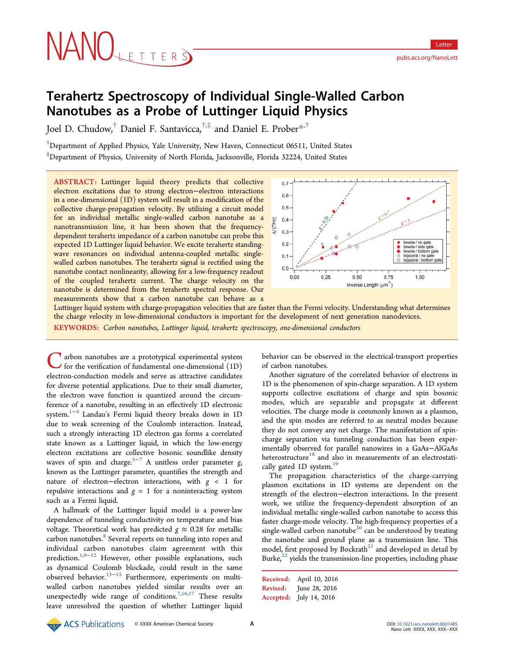# NANOLETTERS

# Terahertz Spectroscopy of Individual Single-Walled Carbon Nanotubes as a Probe of Luttinger Liquid Physics

Joel D. Chudow,† Daniel F. Santavicca,†,‡ and Daniel E. Prober\*,†

† Department of Applied Physics, Yale University, New Haven, Connecticut 06511, United States ‡ Department of Physics, University of North Florida, Jacksonville, Florida 32224, United States

ABSTRACT: Luttinger liquid theory predicts that collective electron excitations due to strong electron−electron interactions in a one-dimensional (1D) system will result in a modification of the collective charge-propagation velocity. By utilizing a circuit model for an individual metallic single-walled carbon nanotube as a nanotransmission line, it has been shown that the frequencydependent terahertz impedance of a carbon nanotube can probe this expected 1D Luttinger liquid behavior. We excite terahertz standingwave resonances on individual antenna-coupled metallic singlewalled carbon nanotubes. The terahertz signal is rectified using the nanotube contact nonlinearity, allowing for a low-frequency readout of the coupled terahertz current. The charge velocity on the nanotube is determined from the terahertz spectral response. Our measurements show that a carbon nanotube can behave as a



Luttinger liquid system with charge-propagation velocities that are faster than the Fermi velocity. Understanding what determines the charge velocity in low-dimensional conductors is important for the development of next generation nanodevices. KEYWORDS: Carbon nanotubes, Luttinger liquid, terahertz spectroscopy, one-dimensional conductors

**T** arbon nanotubes are a prototypical experimental system  $\blacktriangleright$  for the verification of fundamental one-dimensional  $(1D)$ electron-conduction models and serve as attractive candidates for diverse potential applications. Due to their small diameter, the electron wave function is quantized around the circumference of a nanotube, resulting in an effectively 1D electronic system.<sup>1−4</sup> Landau's Fermi liquid theory breaks down in 1D due to weak screening of the Coulomb interaction. Instead, such a strongly interacting 1D electron gas forms a correlated state known as a Luttinger liquid, in which the low-energy electron excitations are collective bosonic soundlike density waves of spin and charge.<sup>5-7</sup> A unitless order parameter  $g$ , known as the Luttinger parameter, quantifies the strength and nature of electron−electron interactions, with  $g$  < 1 for repulsive interactions and  $g = 1$  for a noninteracting system such as a Fermi liquid.

A hallmark of the Luttinger liquid model is a power-law dependence of tunneling conductivity on temperature and bias voltage. Theoretical work has predicted  $g \approx 0.28$  for metallic carbon nanotubes.<sup>8</sup> Several reports on tunneling into ropes and individual carbon nanotubes claim agreement with this prediction.<sup>1,9−12</sup> However, other possible explanations, such as dynamical Coulomb blockade, could result in the same observed behavior. $13-15$  Furthermore, experiments on multiwalled carbon nanotubes yielded similar results over an unexpectedly wide range of conditions.<sup>7,16,17</sup> These results leave unresolved the question of whether Luttinger liquid

behavior can be observed in the electrical-transport properties of carbon nanotubes.

Another signature of the correlated behavior of electrons in 1D is the phenomenon of spin-charge separation. A 1D system supports collective excitations of charge and spin bosonic modes, which are separable and propagate at different velocities. The charge mode is commonly known as a plasmon, and the spin modes are referred to as neutral modes because they do not convey any net charge. The manifestation of spincharge separation via tunneling conduction has been experimentally observed for parallel nanowires in a GaAs−AlGaAs heterostructure<sup>18</sup> and also in measurements of an electrostatically gated 1D system.<sup>19</sup>

The propagation characteristics of the charge-carrying plasmon excitations in 1D systems are dependent on the strength of the electron−electron interactions. In the present work, we utilize the frequency-dependent absorption of an individual metallic single-walled carbon nanotube to access this faster charge-mode velocity. The high-frequency properties of a single-walled carbon nanotube<sup>20</sup> can be understood by treating the nanotube and ground plane as a transmission line. This model, first proposed by Bockrath $^{21}$  and developed in detail by Burke, $^{22}$  yields the transmission-line properties, including phase

Received: April 10, 2016 Revised: June 28, 2016 Accepted: July 14, 2016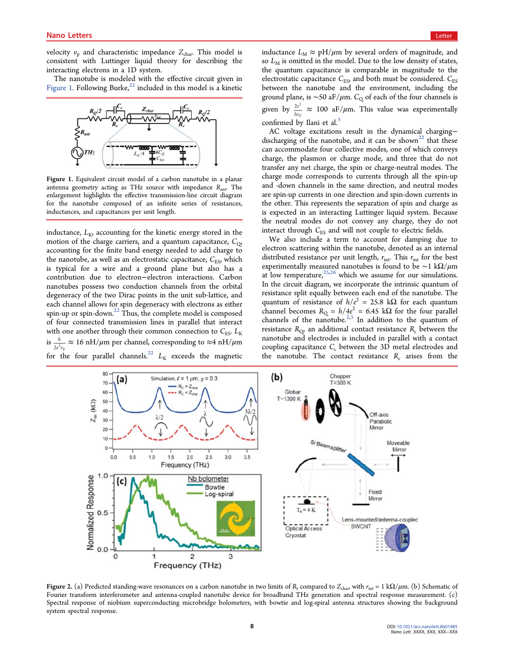velocity  $v_p$  and characteristic impedance  $Z_{\text{char}}$ . This model is consistent with Luttinger liquid theory for describing the interacting electrons in a 1D system.

The nanotube is modeled with the effective circuit given in Figure 1. Following Burke, $^{22}$  included in this model is a kinetic



Figure 1. Equivalent circuit model of a carbon nanotube in a planar antenna geometry acting as THz source with impedance  $R_{\text{ant}}$ . The enlargement highlights the effective transmission-line circuit diagram for the nanotube composed of an infinite series of resistances, inductances, and capacitances per unit length.

inductance,  $L_{\text{K}}$ , accounting for the kinetic energy stored in the motion of the charge carriers, and a quantum capacitance,  $C_{Q}$ , accounting for the finite band energy needed to add charge to the nanotube, as well as an electrostatic capacitance,  $C_{ES}$ , which is typical for a wire and a ground plane but also has a contribution due to electron−electron interactions. Carbon nanotubes possess two conduction channels from the orbital degeneracy of the two Dirac points in the unit sub-lattice, and each channel allows for spin degeneracy with electrons as either spin-up or spin-down.<sup>22</sup> Thus, the complete model is composed of four connected transmission lines in parallel that interact with one another through their common connection to  $C_{ES}$ .  $L_K$  $\frac{1}{2}$  is  $\frac{h}{2e^2v_F} \approx 16 \text{ nH}/\mu\text{m}$  per channel, corresponding to  $\approx 4 \text{ nH}/\mu\text{m}$ for the four parallel channels.<sup>22</sup>  $L_K$  exceeds the magnetic inductance  $L_M \approx pH/\mu m$  by several orders of magnitude, and so  $L_M$  is omitted in the model. Due to the low density of states, the quantum capacitance is comparable in magnitude to the electrostatic capacitance  $C_{\mathrm{ES}}$  and both must be considered.  $C_{\mathrm{ES}}$ between the nanotube and the environment, including the ground plane, is ~50 aF/ $\mu$ m. C<sub>Q</sub> of each of the four channels is given by  $\frac{2e^2}{4m}$ confirmed by Ilani et al.<sup>3</sup>  $\frac{2}{\pi}$   $\approx$  100 aF/ $\mu$ m. This value was experimentally

AC voltage excitations result in the dynamical charging− discharging of the nanotube, and it can be shown<sup>22</sup> that these can accommodate four collective modes, one of which conveys charge, the plasmon or charge mode, and three that do not transfer any net charge, the spin or charge-neutral modes. The charge mode corresponds to currents through all the spin-up and -down channels in the same direction, and neutral modes are spin-up currents in one direction and spin-down currents in the other. This represents the separation of spin and charge as is expected in an interacting Luttinger liquid system. Because the neutral modes do not convey any charge, they do not interact through  $C_{ES}$  and will not couple to electric fields.

We also include a term to account for damping due to electron scattering within the nanotube, denoted as an internal distributed resistance per unit length,  $r_{int}$ . This  $r_{int}$  for the best experimentally measured nanotubes is found to be ~1 k $\Omega/\mu$ m at low temperature,  $25,26$  which we assume for our simulations. In the circuit diagram, we incorporate the intrinsic quantum of resistance split equally between each end of the nanotube. The quantum of resistance of  $h/e^2 = 25.8 \text{ k}\Omega$  for each quantum channel becomes  $R_Q = h/4e^2 = 6.45 \text{ k}\Omega$  for the four parallel channels of the nanotube.<sup>2,3</sup> In addition to the quantum of resistance  $R_{Q}$  an additional contact resistance  $R_c$  between the nanotube and electrodes is included in parallel with a contact coupling capacitance  $C_c$  between the 3D metal electrodes and the nanotube. The contact resistance  $R_c$  arises from the



Figure 2. (a) Predicted standing-wave resonances on a carbon nanotube in two limits of  $R_t$  compared to  $Z_{char}$ , with  $r_{int} = 1 k\Omega/\mu m$ . (b) Schematic of Fourier transform interferometer and antenna-coupled nanotube device for broadband THz generation and spectral response measurement. (c) Spectral response of niobium superconducting microbridge bolometers, with bowtie and log-spiral antenna structures showing the background system spectral response.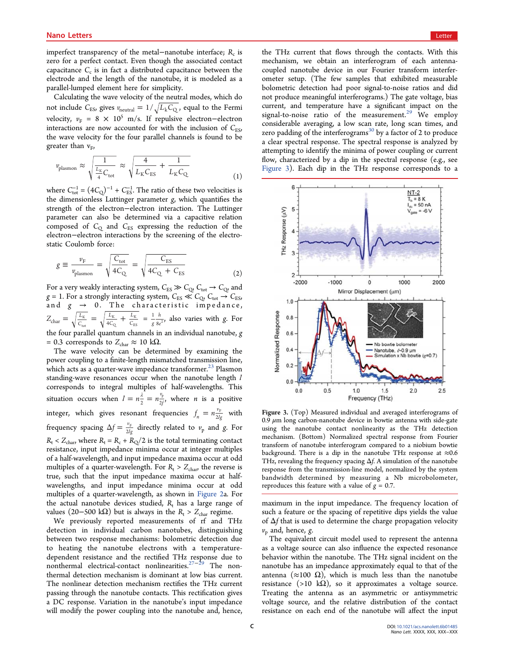imperfect transparency of the metal–nanotube interface;  $R_c$  is zero for a perfect contact. Even though the associated contact capacitance  $C_c$  is in fact a distributed capacitance between the electrode and the length of the nanotube, it is modeled as a parallel-lumped element here for simplicity.

Calculating the wave velocity of the neutral modes, which do not include  $C_{ES}$ , gives  $v_{neutral} = 1/\sqrt{L_k C_Q}$ , equal to the Fermi velocity,  $v_F = 8 \times 10^5$  m/s. If repulsive electron–electron interactions are now accounted for with the inclusion of  $C_{\text{ES}}$ , the wave velocity for the four parallel channels is found to be greater than  $v_F$ ,

$$
\nu_{\text{plasmon}} \approx \sqrt{\frac{1}{\frac{L_{\text{K}}}{4}C_{\text{tot}}}} \approx \sqrt{\frac{4}{L_{\text{K}}C_{\text{ES}}}} + \frac{1}{L_{\text{K}}C_{\text{Q}}}
$$
(1)

where  $C_{\text{tot}}^{-1} = (4C_{\text{Q}})^{-1} + C_{\text{ES}}^{-1}$ . The ratio of these two velocities is the dimensionless Luttinger parameter g, which quantifies the strength of the electron−electron interaction. The Luttinger parameter can also be determined via a capacitive relation composed of  $C_Q$  and  $C_{ES}$  expressing the reduction of the electron−electron interactions by the screening of the electrostatic Coulomb force:

$$
g \equiv \frac{v_{\rm F}}{v_{\rm plasmon}} = \sqrt{\frac{C_{\rm tot}}{4C_{\rm Q}}} = \sqrt{\frac{C_{\rm ES}}{4C_{\rm Q} + C_{\rm ES}}} \tag{2}
$$

For a very weakly interacting system,  $C_{ES} \gg C_{Q}$ ,  $C_{tot} \rightarrow C_{Q}$ , and  $g = 1$ . For a strongly interacting system,  $C_{ES} \ll C_{Q} C_{tot} \rightarrow C_{ES}$ , and  $g \rightarrow 0$ . The characteristic impedance,  $Z_{\text{char}} = \sqrt{\frac{L_K}{C_{\text{tot}}}} = \sqrt{\frac{L_K}{4C_Q}} + \frac{1}{2C}$ *L*  $L_{\text{char}} = \sqrt{\frac{L_{\text{K}}}{C_{\text{tot}}}} = \sqrt{\frac{L_{\text{K}}}{4C_{\text{Q}}}} + \frac{L}{C_{\text{S}}}$ tot K  $\circ$ K  $\frac{K}{ES}$  = *g h*  $\frac{1}{g} \frac{h}{8e^2}$ , also varies with g. For the four parallel quantum channels in an individual nanotube, g = 0.3 corresponds to  $Z_{\text{char}} \approx 10 \text{ k}\Omega$ .

The wave velocity can be determined by examining the power coupling to a finite-length mismatched transmission line, which acts as a quarter-wave impedance transformer.<sup>23</sup> Plasmon standing-wave resonances occur when the nanotube length  $l$ corresponds to integral multiples of half-wavelengths. This situation occurs when  $l = n\frac{\lambda}{2} = n\frac{v_p}{2f}$ , where *n* is a positive integer, which gives resonant frequencies  $f_n = n \frac{v_F}{2lg}$  with frequency spacing  $\Delta f = \frac{v_F}{2lg}$  directly related to  $v_p$  and g. For  $R_t$  <  $Z_{char}$ , where  $R_t = R_c + R_0/2$  is the total terminating contact resistance, input impedance minima occur at integer multiples of a half-wavelength, and input impedance maxima occur at odd multiples of a quarter-wavelength. For  $R_t > Z_{char}$ , the reverse is true, such that the input impedance maxima occur at halfwavelengths, and input impedance minima occur at odd multiples of a quarter-wavelength, as shown in Figure 2a. For the actual nanotube devices studied,  $R_t$  has a large range of values (20−500 kΩ) but is always in the  $R_t > Z_{char}$  regime.

We previously reported measurements of rf and THz detection in individual carbon nanotubes, distinguishing between two response mechanisms: bolometric detection due to heating the nanotube electrons with a temperaturedependent resistance and the rectified THz response due to nonthermal electrical-contact nonlinearities.<sup>27−29</sup> The nonthermal detection mechanism is dominant at low bias current. The nonlinear detection mechanism rectifies the THz current passing through the nanotube contacts. This rectification gives a DC response. Variation in the nanotube's input impedance will modify the power coupling into the nanotube and, hence, the THz current that flows through the contacts. With this mechanism, we obtain an interferogram of each antennacoupled nanotube device in our Fourier transform interferometer setup. (The few samples that exhibited measurable bolometric detection had poor signal-to-noise ratios and did not produce meaningful interferograms.) The gate voltage, bias current, and temperature have a significant impact on the signal-to-noise ratio of the measurement.<sup>29</sup> We employ considerable averaging, a low scan rate, long scan times, and zero padding of the interferograms<sup>30</sup> by a factor of 2 to produce a clear spectral response. The spectral response is analyzed by attempting to identify the minima of power coupling or current flow, characterized by a dip in the spectral response (e.g., see Figure 3). Each dip in the THz response corresponds to a



Figure 3. (Top) Measured individual and averaged interferograms of 0.9  $\mu$ m long carbon-nanotube device in bowtie antenna with side-gate using the nanotube contact nonlinearity as the THz detection mechanism. (Bottom) Normalized spectral response from Fourier transform of nanotube interferogram compared to a niobium bowtie background. There is a dip in the nanotube THz response at  $\approx 0.6$ THz, revealing the frequency spacing  $\Delta f$ . A simulation of the nanotube response from the transmission-line model, normalized by the system bandwidth determined by measuring a Nb microbolometer, reproduces this feature with a value of  $g = 0.7$ .

maximum in the input impedance. The frequency location of such a feature or the spacing of repetitive dips yields the value of  $\Delta f$  that is used to determine the charge propagation velocity  $v_p$  and, hence, g.

The equivalent circuit model used to represent the antenna as a voltage source can also influence the expected resonance behavior within the nanotube. The THz signal incident on the nanotube has an impedance approximately equal to that of the antenna ( $\approx$ 100 Ω), which is much less than the nanotube resistance (>10 k $\Omega$ ), so it approximates a voltage source. Treating the antenna as an asymmetric or antisymmetric voltage source, and the relative distribution of the contact resistance on each end of the nanotube will affect the input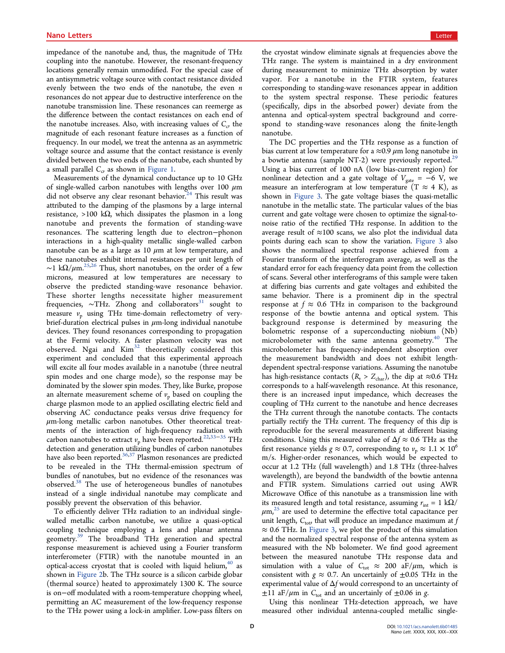impedance of the nanotube and, thus, the magnitude of THz coupling into the nanotube. However, the resonant-frequency locations generally remain unmodified. For the special case of an antisymmetric voltage source with contact resistance divided evenly between the two ends of the nanotube, the even  $n$ resonances do not appear due to destructive interference on the nanotube transmission line. These resonances can reemerge as the difference between the contact resistances on each end of the nanotube increases. Also, with increasing values of  $C_c$ , the magnitude of each resonant feature increases as a function of frequency. In our model, we treat the antenna as an asymmetric voltage source and assume that the contact resistance is evenly divided between the two ends of the nanotube, each shunted by a small parallel  $C_{\sigma}$  as shown in Figure 1.

Measurements of the dynamical conductance up to 10 GHz of single-walled carbon nanotubes with lengths over 100  $\mu$ m did not observe any clear resonant behavior. $24$  This result was attributed to the damping of the plasmons by a large internal resistance, >100 kΩ, which dissipates the plasmon in a long nanotube and prevents the formation of standing-wave resonances. The scattering length due to electron−phonon interactions in a high-quality metallic single-walled carbon nanotube can be as a large as 10  $\mu$ m at low temperature, and these nanotubes exhibit internal resistances per unit length of ~1 k $\Omega/\mu$ m.<sup>25,26</sup> Thus, short nanotubes, on the order of a few microns, measured at low temperatures are necessary to observe the predicted standing-wave resonance behavior. These shorter lengths necessitate higher measurement frequencies, ~THz. Zhong and collaborators<sup>31</sup> sought to measure  $v_p$  using THz time-domain reflectometry of verybrief-duration electrical pulses in  $\mu$ m-long individual nanotube devices. They found resonances corresponding to propagation at the Fermi velocity. A faster plasmon velocity was not observed. Ngai and  $Kim<sup>32</sup>$  theoretically considered this experiment and concluded that this experimental approach will excite all four modes available in a nanotube (three neutral spin modes and one charge mode), so the response may be dominated by the slower spin modes. They, like Burke, propose an alternate measurement scheme of  $v_p$  based on coupling the charge plasmon mode to an applied oscillating electric field and observing AC conductance peaks versus drive frequency for  $\mu$ m-long metallic carbon nanotubes. Other theoretical treatments of the interaction of high-frequency radiation with carbon nanotubes to extract  $v_p$  have been reported.<sup>22,33–35</sup> THz detection and generation utilizing bundles of carbon nanotubes have also been reported. $36,37$  Plasmon resonances are predicted to be revealed in the THz thermal-emission spectrum of bundles of nanotubes, but no evidence of the resonances was observed. $38$  The use of heterogeneous bundles of nanotubes instead of a single individual nanotube may complicate and possibly prevent the observation of this behavior.

To efficiently deliver THz radiation to an individual singlewalled metallic carbon nanotube, we utilize a quasi-optical coupling technique employing a lens and planar antenna geometry.<sup>39</sup> The broadband THz generation and spectral response measurement is achieved using a Fourier transform interferometer (FTIR) with the nanotube mounted in an optical-access cryostat that is cooled with liquid helium, $40$  as shown in Figure 2b. The THz source is a silicon carbide globar (thermal source) heated to approximately 1300 K. The source is on−off modulated with a room-temperature chopping wheel, permitting an AC measurement of the low-frequency response to the THz power using a lock-in amplifier. Low-pass filters on the cryostat window eliminate signals at frequencies above the THz range. The system is maintained in a dry environment during measurement to minimize THz absorption by water vapor. For a nanotube in the FTIR system, features corresponding to standing-wave resonances appear in addition to the system spectral response. These periodic features (specifically, dips in the absorbed power) deviate from the antenna and optical-system spectral background and correspond to standing-wave resonances along the finite-length nanotube.

The DC properties and the THz response as a function of bias current at low temperature for a  $\approx 0.9 \ \mu m$  long nanotube in a bowtie antenna (sample NT-2) were previously reported.<sup>29</sup> Using a bias current of 100 nA (low bias-current region) for nonlinear detection and a gate voltage of  $V_{\text{gate}} = -6$  V, we measure an interferogram at low temperature  $(T \approx 4 \text{ K})$ , as shown in Figure 3. The gate voltage biases the quasi-metallic nanotube in the metallic state. The particular values of the bias current and gate voltage were chosen to optimize the signal-tonoise ratio of the rectified THz response. In addition to the average result of  $\approx$ 100 scans, we also plot the individual data points during each scan to show the variation. Figure 3 also shows the normalized spectral response achieved from a Fourier transform of the interferogram average, as well as the standard error for each frequency data point from the collection of scans. Several other interferograms of this sample were taken at differing bias currents and gate voltages and exhibited the same behavior. There is a prominent dip in the spectral response at  $f \approx 0.6$  THz in comparison to the background response of the bowtie antenna and optical system. This background response is determined by measuring the bolometric response of a superconducting niobium (Nb) microbolometer with the same antenna geometry. $40$  The microbolometer has frequency-independent absorption over the measurement bandwidth and does not exhibit lengthdependent spectral-response variations. Assuming the nanotube has high-resistance contacts ( $R_t > Z_{char}$ ), the dip at ≈0.6 THz corresponds to a half-wavelength resonance. At this resonance, there is an increased input impedance, which decreases the coupling of THz current to the nanotube and hence decreases the THz current through the nanotube contacts. The contacts partially rectify the THz current. The frequency of this dip is reproducible for the several measurements at different biasing conditions. Using this measured value of  $\Delta f \approx 0.6$  THz as the first resonance yields  $g \approx 0.7$ , corresponding to  $v_p \approx 1.1 \times 10^6$ m/s. Higher-order resonances, which would be expected to occur at 1.2 THz (full wavelength) and 1.8 THz (three-halves wavelength), are beyond the bandwidth of the bowtie antenna and FTIR system. Simulations carried out using AWR Microwave Office of this nanotube as a transmission line with its measured length and total resistance, assuming  $r_{int} = 1 \text{ k}\Omega/$  $\mu$ m,<sup>25</sup> are used to determine the effective total capacitance per unit length,  $C_{\text{tot}}$  that will produce an impedance maximum at  $f$  $\approx 0.6$  THz. In Figure 3, we plot the product of this simulation and the normalized spectral response of the antenna system as measured with the Nb bolometer. We find good agreement between the measured nanotube THz response data and simulation with a value of  $C_{\text{tot}} \approx 200 \text{ aF}/\mu \text{m}$ , which is consistent with  $g \approx 0.7$ . An uncertainly of  $\pm 0.05$  THz in the experimental value of  $\Delta f$  would correspond to an uncertainty of  $\pm 11$  aF/ $\mu$ m in C<sub>tot</sub> and an uncertainly of  $\pm 0.06$  in g.

Using this nonlinear THz-detection approach, we have measured other individual antenna-coupled metallic single-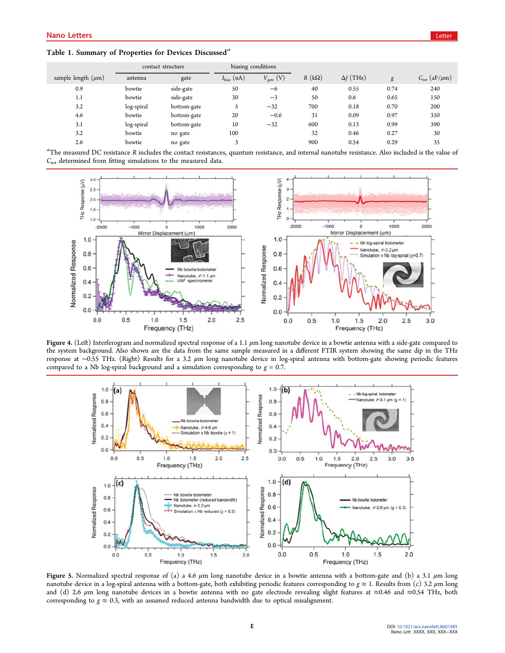|                         | contact structure |             | biasing conditions |                |              |                  |      |                                |
|-------------------------|-------------------|-------------|--------------------|----------------|--------------|------------------|------|--------------------------------|
| sample length $(\mu m)$ | antenna           | gate        | $I_{bias}$ (nA)    | $V_{gate}$ (V) | $R(k\Omega)$ | $\Delta f$ (THz) | g    | $C_{\text{tot}}$ (aF/ $\mu$ m) |
| 0.9                     | bowtie            | side-gate   | 50                 | $-6$           | 40           | 0.55             | 0.74 | 240                            |
| 1.1                     | bowtie            | side-gate   | 30                 | $-3$           | 50           | 0.6              | 0.65 | 150                            |
| 3.2                     | log-spiral        | bottom-gate | $\mathcal{P}$      | $-32$          | 700          | 0.18             | 0.70 | 200                            |
| 4.6                     | bowtie            | bottom-gate | 20                 | $-0.6$         | 31           | 0.09             | 0.97 | 350                            |
| 3.1                     | log-spiral        | bottom-gate | 10                 | $-32$          | 600          | 0.13             | 0.99 | 390                            |
| 3.2                     | bowtie            | no gate     | 100                |                | 32           | 0.46             | 0.27 | 30                             |
| 2.6                     | bowtie            | no gate     | 3                  |                | 900          | 0.54             | 0.29 | 35                             |

a<br>The measured DC resistance R includes the contact resistances, quantum resistance, and internal nanotube resistance. Also included is the value of  $C_{\text{tot}}$  determined from fitting simulations to the measured data.



Figure 4. (Left) Interferogram and normalized spectral response of a 1.1 μm long nanotube device in a bowtie antenna with a side-gate compared to the system background. Also shown are the data from the same sample measured in a different FTIR system showing the same dip in the THz response at ∼0.55 THz. (Right) Results for a 3.2 μm long nanotube device in log-spiral antenna with bottom-gate showing periodic features compared to a Nb log-spiral background and a simulation corresponding to  $g = 0.7$ .



Figure 5. Normalized spectral response of (a) a 4.6  $\mu$ m long nanotube device in a bowtie antenna with a bottom-gate and (b) a 3.1  $\mu$ m long nanotube device in a log-spiral antenna with a bottom-gate, both exhibiting periodic features corresponding to  $g \approx 1$ . Results from (c) 3.2  $\mu$ m long and (d) 2.6 μm long nanotube devices in a bowtie antenna with no gate electrode revealing slight features at ≈0.46 and ≈0.54 THz, both corresponding to  $g \approx 0.3$ , with an assumed reduced antenna bandwidth due to optical misalignment.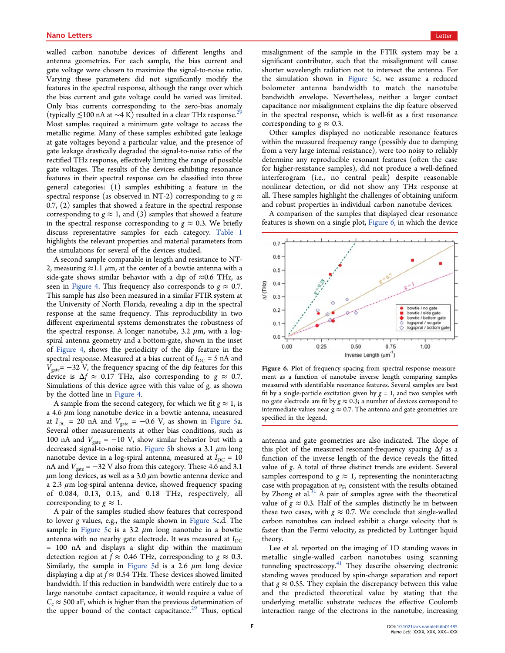walled carbon nanotube devices of different lengths and antenna geometries. For each sample, the bias current and gate voltage were chosen to maximize the signal-to-noise ratio. Varying these parameters did not significantly modify the features in the spectral response, although the range over which the bias current and gate voltage could be varied was limited. Only bias currents corresponding to the zero-bias anomaly (typically ≲100 nA at ∼4 K) resulted in a clear THz response.<sup>29</sup> Most samples required a minimum gate voltage to access the metallic regime. Many of these samples exhibited gate leakage at gate voltages beyond a particular value, and the presence of gate leakage drastically degraded the signal-to-noise ratio of the rectified THz response, effectively limiting the range of possible gate voltages. The results of the devices exhibiting resonance features in their spectral response can be classified into three general categories: (1) samples exhibiting a feature in the spectral response (as observed in NT-2) corresponding to  $g \approx$ 0.7, (2) samples that showed a feature in the spectral response corresponding to  $g \approx 1$ , and (3) samples that showed a feature in the spectral response corresponding to  $g \approx 0.3$ . We briefly discuss representative samples for each category. Table 1 highlights the relevant properties and material parameters from the simulations for several of the devices studied.

A second sample comparable in length and resistance to NT-2, measuring  $\approx$ 1.1  $\mu$ m, at the center of a bowtie antenna with a side-gate shows similar behavior with a dip of  $\approx 0.6$  THz, as seen in Figure 4. This frequency also corresponds to  $g \approx 0.7$ . This sample has also been measured in a similar FTIR system at the University of North Florida, revealing a dip in the spectral response at the same frequency. This reproducibility in two different experimental systems demonstrates the robustness of the spectral response. A longer nanotube,  $3.2 \mu m$ , with a logspiral antenna geometry and a bottom-gate, shown in the inset of Figure 4, shows the periodicity of the dip feature in the spectral response. Measured at a bias current of  $I_{\rm DC}$  = 5 nA and  $V_{\text{gate}}$  = −32 V, the frequency spacing of the dip features for this device is  $\Delta f \approx 0.17$  THz, also corresponding to  $g \approx 0.7$ . Simulations of this device agree with this value of  $g$ , as shown by the dotted line in Figure 4.

A sample from the second category, for which we fit  $g \approx 1$ , is a 4.6  $\mu$ m long nanotube device in a bowtie antenna, measured at  $I_{\text{DC}}$  = 20 nA and  $V_{\text{gate}}$  = -0.6 V, as shown in Figure 5a. Several other measurements at other bias conditions, such as 100 nA and  $V_{\text{gate}} = -10$  V, show similar behavior but with a decreased signal-to-noise ratio. Figure 5b shows a 3.1  $\mu$ m long nanotube device in a log-spiral antenna, measured at  $I_{DC} = 10$ nA and  $V_{\text{gate}} = -32$  V also from this category. These 4.6 and 3.1  $\mu$ m long devices, as well as a 3.0  $\mu$ m bowtie antenna device and a 2.3  $\mu$ m log-spiral antenna device, showed frequency spacing of 0.084, 0.13, 0.13, and 0.18 THz, respectively, all corresponding to  $g \approx 1$ .

A pair of the samples studied show features that correspond to lower g values, e.g., the sample shown in Figure 5c,d. The sample in Figure 5c is a 3.2  $\mu$ m long nanotube in a bowtie antenna with no nearby gate electrode. It was measured at  $I_{\text{DC}}$ = 100 nA and displays a slight dip within the maximum detection region at  $f \approx 0.46$  THz, corresponding to  $g \approx 0.3$ . Similarly, the sample in Figure 5d is a 2.6  $\mu$ m long device displaying a dip at  $f \approx 0.54$  THz. These devices showed limited bandwidth. If this reduction in bandwidth were entirely due to a large nanotube contact capacitance, it would require a value of  $C_c \approx$  500 aF, which is higher than the previous determination of the upper bound of the contact capacitance.<sup>29</sup> Thus, optical

misalignment of the sample in the FTIR system may be a significant contributor, such that the misalignment will cause shorter wavelength radiation not to intersect the antenna. For the simulation shown in Figure 5c, we assume a reduced bolometer antenna bandwidth to match the nanotube bandwidth envelope. Nevertheless, neither a larger contact capacitance nor misalignment explains the dip feature observed in the spectral response, which is well-fit as a first resonance corresponding to  $g \approx 0.3$ .

Other samples displayed no noticeable resonance features within the measured frequency range (possibly due to damping from a very large internal resistance), were too noisy to reliably determine any reproducible resonant features (often the case for higher-resistance samples), did not produce a well-defined interferogram (i.e., no central peak) despite reasonable nonlinear detection, or did not show any THz response at all. These samples highlight the challenges of obtaining uniform and robust properties in individual carbon nanotube devices.

A comparison of the samples that displayed clear resonance features is shown on a single plot, Figure 6, in which the device



Figure 6. Plot of frequency spacing from spectral-response measurement as a function of nanotube inverse length comparing samples measured with identifiable resonance features. Several samples are best fit by a single-particle excitation given by  $g = 1$ , and two samples with no gate electrode are fit by  $g \approx 0.3$ ; a number of devices correspond to intermediate values near  $g \approx 0.7$ . The antenna and gate geometries are specified in the legend.

antenna and gate geometries are also indicated. The slope of this plot of the measured resonant-frequency spacing  $\Delta f$  as a function of the inverse length of the device reveals the fitted value of g. A total of three distinct trends are evident. Several samples correspond to  $g \approx 1$ , representing the noninteracting case with propagation at  $v_F$ , consistent with the results obtained by Zhong et al. $31$  A pair of samples agree with the theoretical value of  $g \approx 0.3$ . Half of the samples distinctly lie in between these two cases, with  $g \approx 0.7$ . We conclude that single-walled carbon nanotubes can indeed exhibit a charge velocity that is faster than the Fermi velocity, as predicted by Luttinger liquid theory.

Lee et al. reported on the imaging of 1D standing waves in metallic single-walled carbon nanotubes using scanning tunneling spectroscopy.<sup>41</sup> They describe observing electronic standing waves produced by spin-charge separation and report that  $g \approx 0.55$ . They explain the discrepancy between this value and the predicted theoretical value by stating that the underlying metallic substrate reduces the effective Coulomb interaction range of the electrons in the nanotube, increasing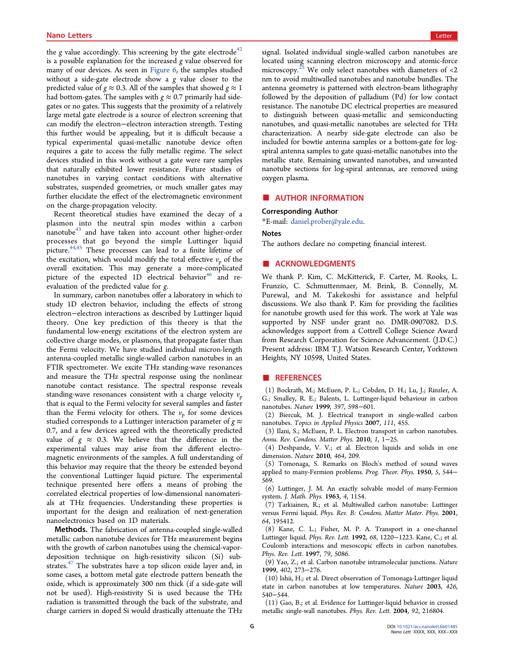the  $g$  value accordingly. This screening by the gate electrode<sup>42</sup> is a possible explanation for the increased g value observed for many of our devices. As seen in Figure 6, the samples studied without a side-gate electrode show a g value closer to the predicted value of  $g \approx 0.3$ . All of the samples that showed  $g \approx 1$ had bottom-gates. The samples with  $g \approx 0.7$  primarily had sidegates or no gates. This suggests that the proximity of a relatively large metal gate electrode is a source of electron screening that can modify the electron−electron interaction strength. Testing this further would be appealing, but it is difficult because a typical experimental quasi-metallic nanotube device often requires a gate to access the fully metallic regime. The select devices studied in this work without a gate were rare samples that naturally exhibited lower resistance. Future studies of nanotubes in varying contact conditions with alternative substrates, suspended geometries, or much smaller gates may further elucidate the effect of the electromagnetic environment on the charge-propagation velocity.

Recent theoretical studies have examined the decay of a plasmon into the neutral spin modes within a carbon nanotube $43$  and have taken into account other higher-order processes that go beyond the simple Luttinger liquid picture.44,45 These processes can lead to a finite lifetime of the excitation, which would modify the total effective  $v_p$  of the overall excitation. This may generate a more-complicated picture of the expected  $1D$  electrical behavior<sup>46</sup> and reevaluation of the predicted value for g.

In summary, carbon nanotubes offer a laboratory in which to study 1D electron behavior, including the effects of strong electron−electron interactions as described by Luttinger liquid theory. One key prediction of this theory is that the fundamental low-energy excitations of the electron system are collective charge modes, or plasmons, that propagate faster than the Fermi velocity. We have studied individual micron-length antenna-coupled metallic single-walled carbon nanotubes in an FTIR spectrometer. We excite THz standing-wave resonances and measure the THz spectral response using the nonlinear nanotube contact resistance. The spectral response reveals standing-wave resonances consistent with a charge velocity  $v_p$ that is equal to the Fermi velocity for several samples and faster than the Fermi velocity for others. The  $v_p$  for some devices studied corresponds to a Luttinger interaction parameter of  $g \approx$ 0.7, and a few devices agreed with the theoretically predicted value of  $g \approx 0.3$ . We believe that the difference in the experimental values may arise from the different electromagnetic environments of the samples. A full understanding of this behavior may require that the theory be extended beyond the conventional Luttinger liquid picture. The experimental technique presented here offers a means of probing the correlated electrical properties of low-dimensional nanomaterials at THz frequencies. Understanding these properties is important for the design and realization of next-generation nanoelectronics based on 1D materials.

Methods. The fabrication of antenna-coupled single-walled metallic carbon nanotube devices for THz measurement begins with the growth of carbon nanotubes using the chemical-vapordeposition technique on high-resistivity silicon (Si) substrates.<sup>47</sup> The substrates have a top silicon oxide layer and, in some cases, a bottom metal gate electrode pattern beneath the oxide, which is approximately 300 nm thick (if a side-gate will not be used). High-resistivity Si is used because the THz radiation is transmitted through the back of the substrate, and charge carriers in doped Si would drastically attenuate the THz

signal. Isolated individual single-walled carbon nanotubes are located using scanning electron microscopy and atomic-force microscopy.<sup>25</sup> We only select nanotubes with diameters of  $<$ 2 nm to avoid multiwalled nanotubes and nanotube bundles. The antenna geometry is patterned with electron-beam lithography followed by the deposition of palladium (Pd) for low contact resistance. The nanotube DC electrical properties are measured to distinguish between quasi-metallic and semiconducting nanotubes, and quasi-metallic nanotubes are selected for THz characterization. A nearby side-gate electrode can also be included for bowtie antenna samples or a bottom-gate for logspiral antenna samples to gate quasi-metallic nanotubes into the metallic state. Remaining unwanted nanotubes, and unwanted nanotube sections for log-spiral antennas, are removed using oxygen plasma.

## **AUTHOR INFORMATION**

#### Corresponding Author

\*E-mail: daniel.prober@yale.edu.

#### Notes

The authors declare no competing financial interest.

# **ACKNOWLEDGMENTS**

We thank P. Kim, C. McKitterick, F. Carter, M. Rooks, L. Frunzio, C. Schmuttenmaer, M. Brink, B. Connelly, M. Purewal, and M. Takekoshi for assistance and helpful discussions. We also thank P. Kim for providing the facilities for nanotube growth used for this work. The work at Yale was supported by NSF under grant no. DMR-0907082. D.S. acknowledges support from a Cottrell College Science Award from Research Corporation for Science Advancement. (J.D.C.) Present address: IBM T.J. Watson Research Center, Yorktown Heights, NY 10598, United States.

### **ENDERGERMINIST REFERENCES**

(1) Bockrath, M.; McEuen, P. L.; Cobden, D. H.; Lu, J.; Rinzler, A. G.; Smalley, R. E.; Balents, L. Luttinger-liquid behaviour in carbon nanotubes. Nature 1999, 397, 598-601.

(2) Biercuk, M. J. Electrical transport in single-walled carbon nanotubes. Topics in Applied Physics 2007, 111, 455.

(3) Ilani, S.; McEuen, P. L. Electron transport in carbon nanotubes. Annu. Rev. Condens. Matter Phys. 2010, 1, 1−25.

(4) Deshpande, V. V.; et al. Electron liquids and solids in one dimension. Nature 2010, 464, 209.

(5) Tomonaga, S. Remarks on Bloch's method of sound waves applied to many-Fermion problems. Prog. Theor. Phys. 1950, 5, 544− 569.

(6) Luttinger, J. M. An exactly solvable model of many-Fermion system. J. Math. Phys. 1963, 4, 1154.

(7) Tarkiainen, R.; et al. Multiwalled carbon nanotube: Luttinger versus Fermi liquid. Phys. Rev. B: Condens. Matter Mater. Phys. 2001, 64, 195412.

(8) Kane, C. L.; Fisher, M. P. A. Transport in a one-channel Luttinger liquid. Phys. Rev. Lett. 1992, 68, 1220−1223. Kane, C.; et al. Coulomb interactions and mesoscopic effects in carbon nanotubes. Phys. Rev. Lett. 1997, 79, 5086.

(9) Yao, Z.; et al. Carbon nanotube intramolecular junctions. Nature 1999, 402, 273−276.

(10) Ishii, H.; et al. Direct observation of Tomonaga-Luttinger liquid state in carbon nanotubes at low temperatures. Nature 2003, 426, 540−544.

(11) Gao, B.; et al. Evidence for Luttinger-liquid behavior in crossed metallic single-wall nanotubes. Phys. Rev. Lett. 2004, 92, 216804.